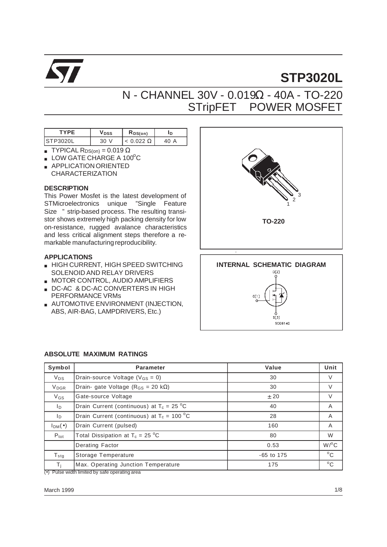

# **STP3020L**

## N - CHANNEL 30V - 0.019Ω - 40A - TO-220 STripFETTM POWER MOSFET

| ∼⊢<br>V DSS |     | KDS(0n) | In |
|-------------|-----|---------|----|
| וחי         | -3U |         | A  |

- **TYPICAL RDS(on) = 0.019 Ω**
- $\blacksquare$  LOW GATE CHARGE A 100°C
- APPLICATION ORIENTED CHARACTERIZATION

#### **DESCRIPTION**

This Power Mosfet is the latest development of STMicroelectronics unique "Single Feature Size<sup>TM"</sup> strip-based process. The resulting transistor shows extremely high packing density for low on-resistance, rugged avalance characteristics and less critical alignment steps therefore a remarkable manufacturing reproducibility.

#### **APPLICATIONS**

- HIGH CURRENT, HIGH SPEED SWITCHING SOLENOID AND RELAY DRIVERS
- MOTOR CONTROL, AUDIO AMPLIFIERS
- DC-AC & DC-AC CONVERTERS IN HIGH PERFORMANCE VRMs
- **AUTOMOTIVE ENVIRONMENT (INJECTION,** ABS, AIR-BAG, LAMPDRIVERS, Etc.)



## **ABSOLUTE MAXIMUM RATINGS**

| Symbol                  | <b>Parameter</b>                                   | Value        | Unit               |
|-------------------------|----------------------------------------------------|--------------|--------------------|
| $V_{DS}$                | Drain-source Voltage ( $V_{GS} = 0$ )              | 30           | V                  |
| <b>V</b> <sub>DGR</sub> | Drain- gate Voltage ( $R_{GS}$ = 20 k $\Omega$ )   | 30           | $\vee$             |
| $V_{GS}$                | Gate-source Voltage                                | ± 20         | $\vee$             |
| I <sub>D</sub>          | Drain Current (continuous) at $T_c = 25 \degree C$ | 40           | A                  |
| lp.                     | Drain Current (continuous) at $T_c = 100 °C$       | 28           | A                  |
| $I_{DM}(\bullet)$       | Drain Current (pulsed)                             | 160          | A                  |
| $P_{\text{tot}}$        | Total Dissipation at $T_c = 25 \degree C$          | 80           | W                  |
|                         | <b>Derating Factor</b>                             | 0.53         | $W$ / $^{\circ}$ C |
| $T_{\text{stg}}$        | Storage Temperature                                | $-65$ to 175 | $^{\circ}$ C       |
| Ti                      | Max. Operating Junction Temperature                | 175          | $^{\circ}$ C       |

(•) Pulse width limited by safe operating area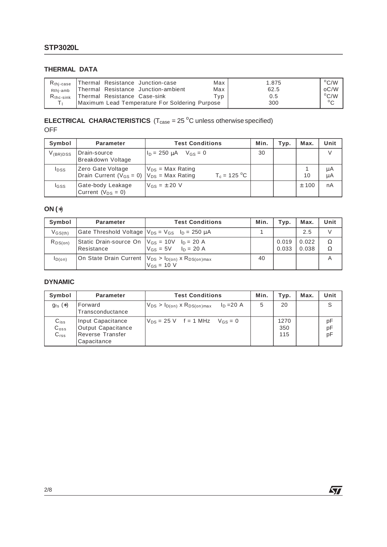#### **THERMAL DATA**

| $R_{\text{thi-case}}$ | Thermal Resistance Junction-case               | Max  | 1.875 | $^{\circ}$ C/W |
|-----------------------|------------------------------------------------|------|-------|----------------|
| Rthi-amb              | Thermal Resistance Junction-ambient            | Max  | 62.5  | oC/W           |
| $R_{\text{thc-sink}}$ | Thermal Resistance Case-sink                   | Typ. | 0.5   | $\rm ^{o}C/W$  |
|                       | Maximum Lead Temperature For Soldering Purpose |      | 300   | $\circ$        |

#### **ELECTRICAL CHARACTERISTICS**  $(T_{\text{case}} = 25 \text{ °C}$  unless otherwise specified) OFF

| Symbol        | <b>Parameter</b>                                                          | <b>Test Conditions</b>                  | Min. | Typ. | Max.    | Unit     |
|---------------|---------------------------------------------------------------------------|-----------------------------------------|------|------|---------|----------|
| $V_{(BR)DSS}$ | Drain-source<br>Breakdown Voltage                                         | $I_{D} = 250 \text{ uA}$ $V_{GS} = 0$   | 30   |      |         | V        |
| <b>I</b> DSS  | Zero Gate Voltage<br>Drain Current ( $V_{GS} = 0$ ) $V_{DS} = Max Rating$ | $V_{DS}$ = Max Rating<br>$T_c = 125 °C$ |      |      | 10      | μA<br>μA |
| <b>I</b> GSS  | Gate-body Leakage<br>Current ( $V_{DS} = 0$ )                             | $V_{GS} = \pm 20$ V                     |      |      | $±$ 100 | nA       |

### **ON (**∗)

| Symbol                             | Parameter                                                         | <b>Test Conditions</b>     | Min. | Typ.           | Max.           | Unit   |
|------------------------------------|-------------------------------------------------------------------|----------------------------|------|----------------|----------------|--------|
| $V$ <sub>GS<math>(th)</math></sub> | Gate Threshold Voltage $V_{DS} = V_{GS}$ $I_D = 250 \mu A$        |                            |      |                | 2.5            |        |
| $R_{DS(on)}$                       | Static Drain-source On $ V_{GS} = 10V$ $I_D = 20 A$<br>Resistance | $V_{GS} = 5V$ $I_D = 20 A$ |      | 0.019<br>0.033 | 0.022<br>0.038 | Ω<br>Ω |
| ID(on)                             | On State Drain Current $ V_{DS} > I_{D(0n)} \times R_{DS(0n)max}$ | $V$ <sub>GS</sub> = 10 V   | 40   |                |                |        |

#### **DYNAMIC**

| Symbol                                         | Parameter                                                                  | <b>Test Conditions</b>                                 | Min. | Typ.               | Max. | Unit           |
|------------------------------------------------|----------------------------------------------------------------------------|--------------------------------------------------------|------|--------------------|------|----------------|
| $g_{fs}(*)$                                    | Forward<br>Transconductance                                                | $I_D = 20 A$<br>$V_{DS} > I_{D(0n)}$ x $R_{DS(0n)max}$ | 5    | 20                 |      | S              |
| $C_{iss}$<br>$C_{\rm oss}$<br>C <sub>rss</sub> | Input Capacitance<br>Output Capacitance<br>Reverse Transfer<br>Capacitance | $V_{DS} = 25 V$ f = 1 MHz $V_{GS} = 0$                 |      | 1270<br>350<br>115 |      | pF<br>pF<br>pF |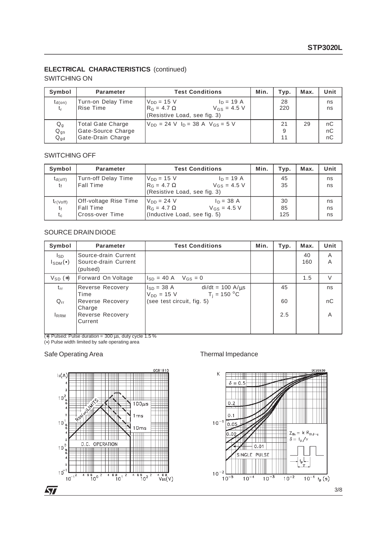#### **ELECTRICAL CHARACTERISTICS** (continued)

#### SWITCHING ON

| Symbol                                            | <b>Parameter</b>                                                    | <b>Test Conditions</b>                                                                                   | Min. | Typ.          | Max. | Unit           |
|---------------------------------------------------|---------------------------------------------------------------------|----------------------------------------------------------------------------------------------------------|------|---------------|------|----------------|
| $t_{d(on)}$<br>t,                                 | Turn-on Delay Time<br>Rise Time                                     | $ln = 19$ A<br>$V_{DD} = 15 V$<br>$R_G = 4.7 \Omega$<br>$V_{GS} = 4.5 V$<br>(Resistive Load, see fig. 3) |      | 28<br>220     |      | ns<br>ns       |
| $\mathsf{Q}_{\mathsf{g}}$<br>$Q_{gs}$<br>$Q_{gd}$ | <b>Total Gate Charge</b><br>Gate-Source Charge<br>Gate-Drain Charge | $V_{DD}$ = 24 V $I_D$ = 38 A $V_{GS}$ = 5 V                                                              |      | 21<br>9<br>11 | 29   | nC<br>nC<br>nC |

#### SWITCHING OFF

| Symbol        | <b>Parameter</b>      | <b>Test Conditions</b>                          | Min. | Typ. | Max. | Unit |
|---------------|-----------------------|-------------------------------------------------|------|------|------|------|
| $t_{d(off)}$  | Turn-off Delay Time   | $V_{DD} = 15 V$<br>$I_D = 19 A$                 |      | 45   |      | ns   |
| tŧ            | <b>Fall Time</b>      | $V$ <sub>GS</sub> = 4.5 V<br>$R_G = 4.7 \Omega$ |      | 35   |      | ns   |
|               |                       | (Resistive Load, see fig. 3)                    |      |      |      |      |
| $t_{r(Voff)}$ | Off-voltage Rise Time | $V_{DD} = 24 V$<br>$I_D = 38 A$                 |      | 30   |      | ns   |
| t£            | <b>Fall Time</b>      | $R_G = 4.7 \Omega$<br>$V_{GS}$ = 4.5 V          |      | 85   |      | ns   |
| $t_c$         | Cross-over Time       | (Inductive Load, see fig. 5)                    |      | 125  |      | ns   |

#### SOURCE DRAIN DIODE

| Symbol                    | Parameter                                                | <b>Test Conditions</b>                                                        | Min. | Typ. | Max.      | Unit   |
|---------------------------|----------------------------------------------------------|-------------------------------------------------------------------------------|------|------|-----------|--------|
| Isp<br>$I_{SDM}(\bullet)$ | Source-drain Current<br>Source-drain Current<br>(pulsed) |                                                                               |      |      | 40<br>160 | A<br>A |
| $V_{SD}$ $(*)$            | Forward On Voltage                                       | $V_{GS} = 0$<br>$I_{SD} = 40 A$                                               |      |      | 1.5       | $\vee$ |
| $t_{rr}$                  | <b>Reverse Recovery</b><br>Time                          | $di/dt = 100 A/\mu s$<br>$I_{SD} = 38 A$<br>$T_i = 150 °C$<br>$V_{DD} = 15 V$ |      | 45   |           | ns     |
| $Q_{rr}$                  | Reverse Recovery<br>Charge                               | (see test circuit, fig. 5)                                                    |      | 60   |           | nC     |
| <b>IRRM</b>               | Reverse Recovery<br>Current                              |                                                                               |      | 2.5  |           | A      |

(∗) Pulsed: Pulse duration = 300 µs, duty cycle 1.5 %

(•) Pulse width limited by safe operating area

#### Safe Operating Area Thermal Impedance



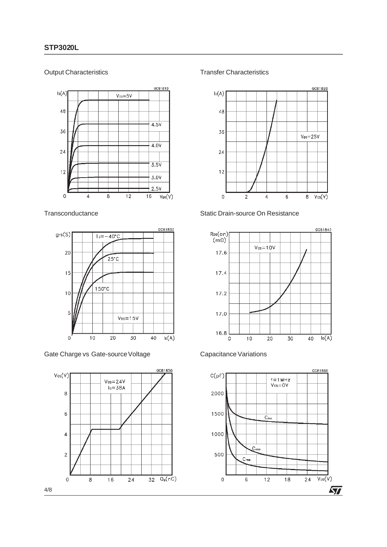#### Output Characteristics



#### **Transconductance**



Gate Charge vs Gate-source Voltage



Transfer Characteristics



#### Static Drain-source On Resistance





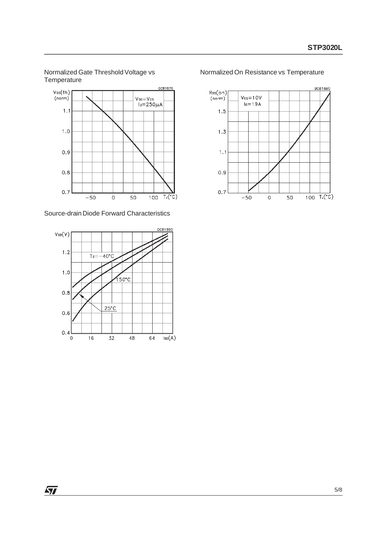Normalized Gate Threshold Voltage vs **Temperature** 



Source-drain Diode Forward Characteristics



Normalized On Resistance vs Temperature



 $\sqrt{27}$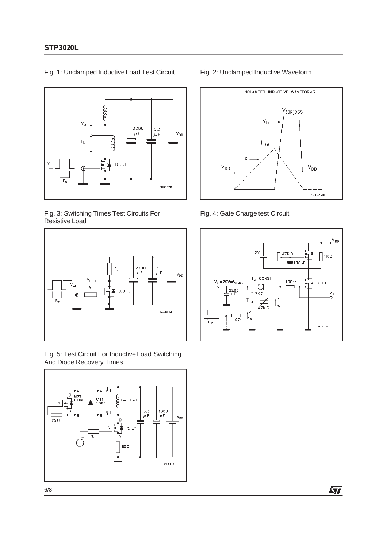

Fig. 1: Unclamped Inductive Load Test Circuit

#### Fig. 3: Switching Times Test Circuits For Resistive Load



Fig. 5: Test Circuit For Inductive Load Switching And Diode Recovery Times



#### Fig. 2: Unclamped Inductive Waveform



Fig. 4: Gate Charge test Circuit



牙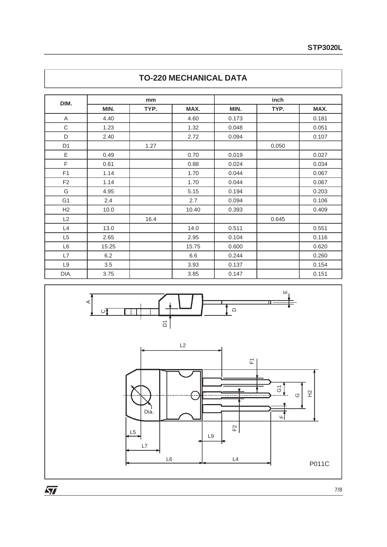| DIM.           |       | mm   |       | inch  |       |       |  |
|----------------|-------|------|-------|-------|-------|-------|--|
|                | MIN.  | TYP. | MAX.  | MIN.  | TYP.  | MAX.  |  |
| Α              | 4.40  |      | 4.60  | 0.173 |       | 0.181 |  |
| $\mathsf C$    | 1.23  |      | 1.32  | 0.048 |       | 0.051 |  |
| D              | 2.40  |      | 2.72  | 0.094 |       | 0.107 |  |
| D <sub>1</sub> |       | 1.27 |       |       | 0.050 |       |  |
| Е              | 0.49  |      | 0.70  | 0.019 |       | 0.027 |  |
| F              | 0.61  |      | 0.88  | 0.024 |       | 0.034 |  |
| F <sub>1</sub> | 1.14  |      | 1.70  | 0.044 |       | 0.067 |  |
| F <sub>2</sub> | 1.14  |      | 1.70  | 0.044 |       | 0.067 |  |
| G              | 4.95  |      | 5.15  | 0.194 |       | 0.203 |  |
| G <sub>1</sub> | 2.4   |      | 2.7   | 0.094 |       | 0.106 |  |
| H <sub>2</sub> | 10.0  |      | 10.40 | 0.393 |       | 0.409 |  |
| L2             |       | 16.4 |       |       | 0.645 |       |  |
| L4             | 13.0  |      | 14.0  | 0.511 |       | 0.551 |  |
| L <sub>5</sub> | 2.65  |      | 2.95  | 0.104 |       | 0.116 |  |
| L6             | 15.25 |      | 15.75 | 0.600 |       | 0.620 |  |
| L7             | 6.2   |      | 6.6   | 0.244 |       | 0.260 |  |
| L9             | 3.5   |      | 3.93  | 0.137 |       | 0.154 |  |
| DIA.           | 3.75  |      | 3.85  | 0.147 |       | 0.151 |  |

## **TO-220 MECHANICAL DATA**



 $\overline{\mathbf{M}}$